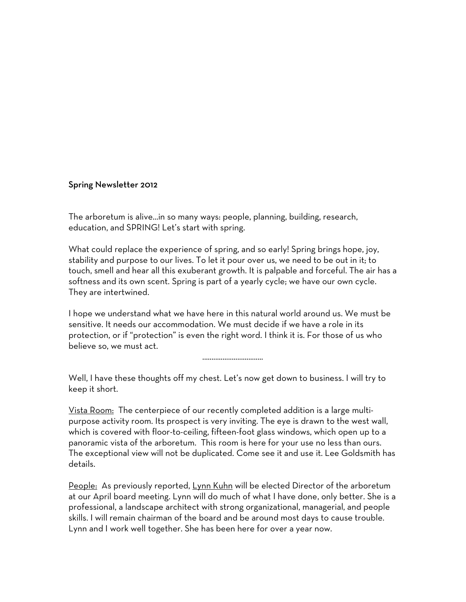#### Spring Newsletter 2012

The arboretum is alive…in so many ways: people, planning, building, research, education, and SPRING! Let's start with spring.

What could replace the experience of spring, and so early! Spring brings hope, joy, stability and purpose to our lives. To let it pour over us, we need to be out in it; to touch, smell and hear all this exuberant growth. It is palpable and forceful. The air has a softness and its own scent. Spring is part of a yearly cycle; we have our own cycle. They are intertwined.

I hope we understand what we have here in this natural world around us. We must be sensitive. It needs our accommodation. We must decide if we have a role in its protection, or if "protection" is even the right word. I think it is. For those of us who believe so, we must act.

.................................

Well, I have these thoughts off my chest. Let's now get down to business. I will try to keep it short.

Vista Room: The centerpiece of our recently completed addition is a large multipurpose activity room. Its prospect is very inviting. The eye is drawn to the west wall, which is covered with floor-to-ceiling, fifteen-foot glass windows, which open up to a panoramic vista of the arboretum. This room is here for your use no less than ours. The exceptional view will not be duplicated. Come see it and use it. Lee Goldsmith has details.

People: As previously reported, Lynn Kuhn will be elected Director of the arboretum at our April board meeting. Lynn will do much of what I have done, only better. She is a professional, a landscape architect with strong organizational, managerial, and people skills. I will remain chairman of the board and be around most days to cause trouble. Lynn and I work well together. She has been here for over a year now.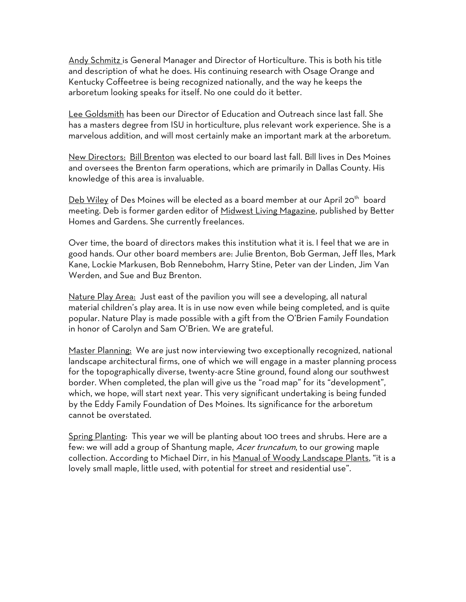Andy Schmitz is General Manager and Director of Horticulture. This is both his title and description of what he does. His continuing research with Osage Orange and Kentucky Coffeetree is being recognized nationally, and the way he keeps the arboretum looking speaks for itself. No one could do it better.

Lee Goldsmith has been our Director of Education and Outreach since last fall. She has a masters degree from ISU in horticulture, plus relevant work experience. She is a marvelous addition, and will most certainly make an important mark at the arboretum.

New Directors: Bill Brenton was elected to our board last fall. Bill lives in Des Moines and oversees the Brenton farm operations, which are primarily in Dallas County. His knowledge of this area is invaluable.

Deb Wiley of Des Moines will be elected as a board member at our April 20<sup>th</sup> board meeting. Deb is former garden editor of Midwest Living Magazine, published by Better Homes and Gardens. She currently freelances.

Over time, the board of directors makes this institution what it is. I feel that we are in good hands. Our other board members are: Julie Brenton, Bob German, Jeff Iles, Mark Kane, Lockie Markusen, Bob Rennebohm, Harry Stine, Peter van der Linden, Jim Van Werden, and Sue and Buz Brenton.

Nature Play Area: Just east of the pavilion you will see a developing, all natural material children's play area. It is in use now even while being completed, and is quite popular. Nature Play is made possible with a gift from the O'Brien Family Foundation in honor of Carolyn and Sam O'Brien. We are grateful.

Master Planning: We are just now interviewing two exceptionally recognized, national landscape architectural firms, one of which we will engage in a master planning process for the topographically diverse, twenty-acre Stine ground, found along our southwest border. When completed, the plan will give us the "road map" for its "development", which, we hope, will start next year. This very significant undertaking is being funded by the Eddy Family Foundation of Des Moines. Its significance for the arboretum cannot be overstated.

Spring Planting: This year we will be planting about 100 trees and shrubs. Here are a few: we will add a group of Shantung maple, Acer truncatum, to our growing maple collection. According to Michael Dirr, in his Manual of Woody Landscape Plants, "it is a lovely small maple, little used, with potential for street and residential use".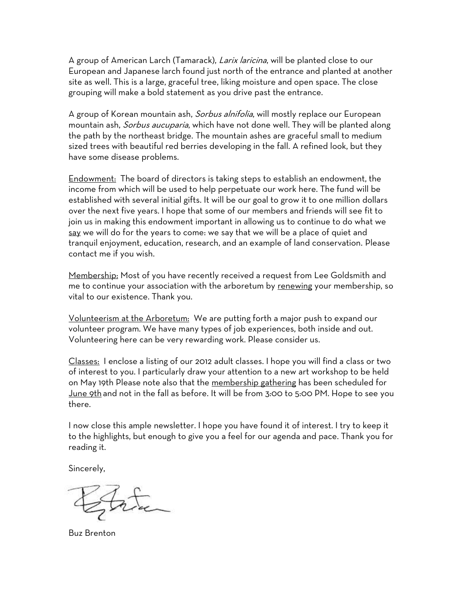A group of American Larch (Tamarack), *Larix laricina*, will be planted close to our European and Japanese larch found just north of the entrance and planted at another site as well. This is a large, graceful tree, liking moisture and open space. The close grouping will make a bold statement as you drive past the entrance.

A group of Korean mountain ash, *Sorbus alnifolia*, will mostly replace our European mountain ash, Sorbus aucuparia, which have not done well. They will be planted along the path by the northeast bridge. The mountain ashes are graceful small to medium sized trees with beautiful red berries developing in the fall. A refined look, but they have some disease problems.

Endowment: The board of directors is taking steps to establish an endowment, the income from which will be used to help perpetuate our work here. The fund will be established with several initial gifts. It will be our goal to grow it to one million dollars over the next five years. I hope that some of our members and friends will see fit to join us in making this endowment important in allowing us to continue to do what we say we will do for the years to come: we say that we will be a place of quiet and tranquil enjoyment, education, research, and an example of land conservation. Please contact me if you wish.

Membership: Most of you have recently received a request from Lee Goldsmith and me to continue your association with the arboretum by renewing your membership, so vital to our existence. Thank you.

Volunteerism at the Arboretum: We are putting forth a major push to expand our volunteer program. We have many types of job experiences, both inside and out. Volunteering here can be very rewarding work. Please consider us.

Classes: I enclose a listing of our 2012 adult classes. I hope you will find a class or two of interest to you. I particularly draw your attention to a new art workshop to be held on May 19th Please note also that the membership gathering has been scheduled for June 9th and not in the fall as before. It will be from 3:00 to 5:00 PM. Hope to see you there.

I now close this ample newsletter. I hope you have found it of interest. I try to keep it to the highlights, but enough to give you a feel for our agenda and pace. Thank you for reading it.

Sincerely,

Buz Brenton